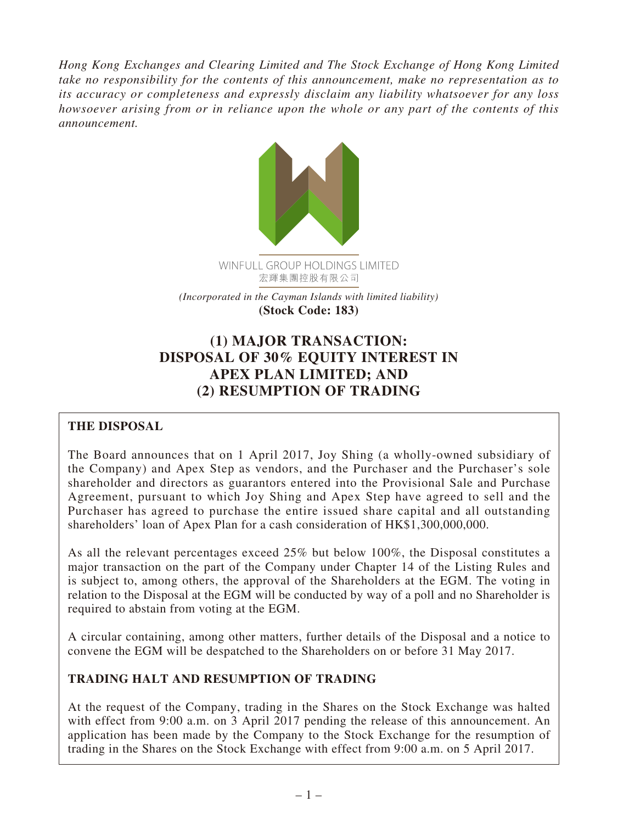*Hong Kong Exchanges and Clearing Limited and The Stock Exchange of Hong Kong Limited take no responsibility for the contents of this announcement, make no representation as to its accuracy or completeness and expressly disclaim any liability whatsoever for any loss howsoever arising from or in reliance upon the whole or any part of the contents of this announcement.*



*(Incorporated in the Cayman Islands with limited liability)* **(Stock Code: 183)**

# **(1) MAJOR TRANSACTION: DISPOSAL OF 30% EQUITY INTEREST IN APEX PLAN LIMITED; AND (2) RESUMPTION OF TRADING**

# **THE DISPOSAL**

The Board announces that on 1 April 2017, Joy Shing (a wholly-owned subsidiary of the Company) and Apex Step as vendors, and the Purchaser and the Purchaser's sole shareholder and directors as guarantors entered into the Provisional Sale and Purchase Agreement, pursuant to which Joy Shing and Apex Step have agreed to sell and the Purchaser has agreed to purchase the entire issued share capital and all outstanding shareholders' loan of Apex Plan for a cash consideration of HK\$1,300,000,000.

As all the relevant percentages exceed 25% but below 100%, the Disposal constitutes a major transaction on the part of the Company under Chapter 14 of the Listing Rules and is subject to, among others, the approval of the Shareholders at the EGM. The voting in relation to the Disposal at the EGM will be conducted by way of a poll and no Shareholder is required to abstain from voting at the EGM.

A circular containing, among other matters, further details of the Disposal and a notice to convene the EGM will be despatched to the Shareholders on or before 31 May 2017.

# **TRADING HALT AND RESUMPTION OF TRADING**

At the request of the Company, trading in the Shares on the Stock Exchange was halted with effect from 9:00 a.m. on 3 April 2017 pending the release of this announcement. An application has been made by the Company to the Stock Exchange for the resumption of trading in the Shares on the Stock Exchange with effect from 9:00 a.m. on 5 April 2017.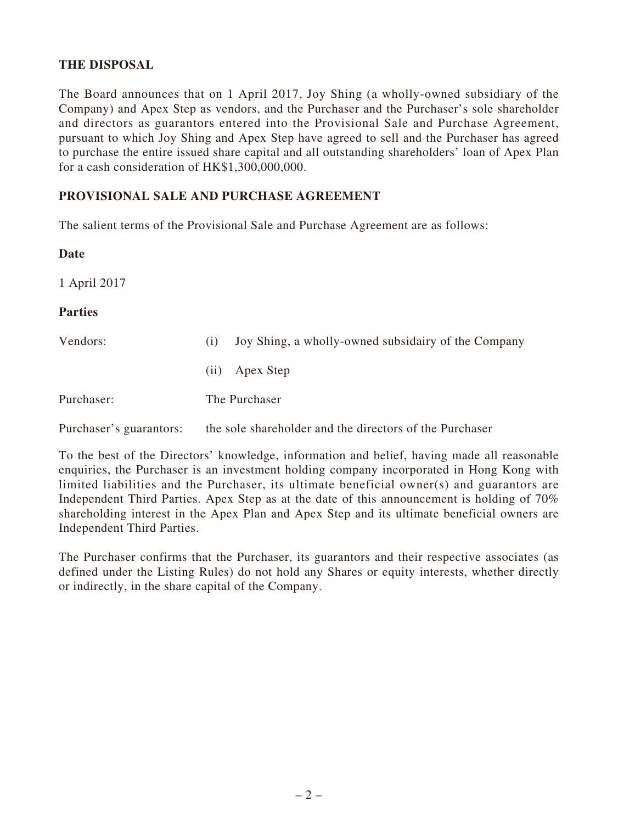## **THE DISPOSAL**

The Board announces that on 1 April 2017, Joy Shing (a wholly-owned subsidiary of the Company) and Apex Step as vendors, and the Purchaser and the Purchaser's sole shareholder and directors as guarantors entered into the Provisional Sale and Purchase Agreement, pursuant to which Joy Shing and Apex Step have agreed to sell and the Purchaser has agreed to purchase the entire issued share capital and all outstanding shareholders' loan of Apex Plan for a cash consideration of HK\$1,300,000,000.

#### **PROVISIONAL SALE AND PURCHASE AGREEMENT**

The salient terms of the Provisional Sale and Purchase Agreement are as follows:

#### **Date**

1 April 2017

#### **Parties**

| (1) | Joy Shing, a wholly-owned subsidairy of the Company |
|-----|-----------------------------------------------------|
|     | (ii) Apex Step                                      |
|     | The Purchaser                                       |
|     |                                                     |

Purchaser's guarantors: the sole shareholder and the directors of the Purchaser

To the best of the Directors' knowledge, information and belief, having made all reasonable enquiries, the Purchaser is an investment holding company incorporated in Hong Kong with limited liabilities and the Purchaser, its ultimate beneficial owner(s) and guarantors are Independent Third Parties. Apex Step as at the date of this announcement is holding of 70% shareholding interest in the Apex Plan and Apex Step and its ultimate beneficial owners are Independent Third Parties.

The Purchaser confirms that the Purchaser, its guarantors and their respective associates (as defined under the Listing Rules) do not hold any Shares or equity interests, whether directly or indirectly, in the share capital of the Company.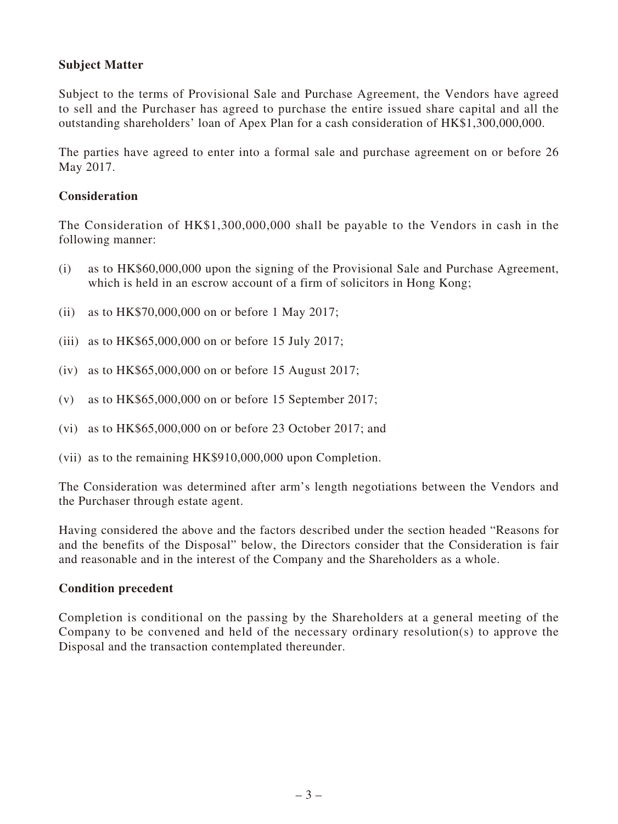## **Subject Matter**

Subject to the terms of Provisional Sale and Purchase Agreement, the Vendors have agreed to sell and the Purchaser has agreed to purchase the entire issued share capital and all the outstanding shareholders' loan of Apex Plan for a cash consideration of HK\$1,300,000,000.

The parties have agreed to enter into a formal sale and purchase agreement on or before 26 May 2017.

## **Consideration**

The Consideration of HK\$1,300,000,000 shall be payable to the Vendors in cash in the following manner:

- (i) as to HK\$60,000,000 upon the signing of the Provisional Sale and Purchase Agreement, which is held in an escrow account of a firm of solicitors in Hong Kong;
- (ii) as to HK\$70,000,000 on or before 1 May 2017;
- (iii) as to HK\$65,000,000 on or before 15 July 2017;
- (iv) as to HK\$65,000,000 on or before 15 August 2017;
- (v) as to HK\$65,000,000 on or before 15 September 2017;
- (vi) as to HK\$65,000,000 on or before 23 October 2017; and
- (vii) as to the remaining HK\$910,000,000 upon Completion.

The Consideration was determined after arm's length negotiations between the Vendors and the Purchaser through estate agent.

Having considered the above and the factors described under the section headed "Reasons for and the benefits of the Disposal" below, the Directors consider that the Consideration is fair and reasonable and in the interest of the Company and the Shareholders as a whole.

#### **Condition precedent**

Completion is conditional on the passing by the Shareholders at a general meeting of the Company to be convened and held of the necessary ordinary resolution(s) to approve the Disposal and the transaction contemplated thereunder.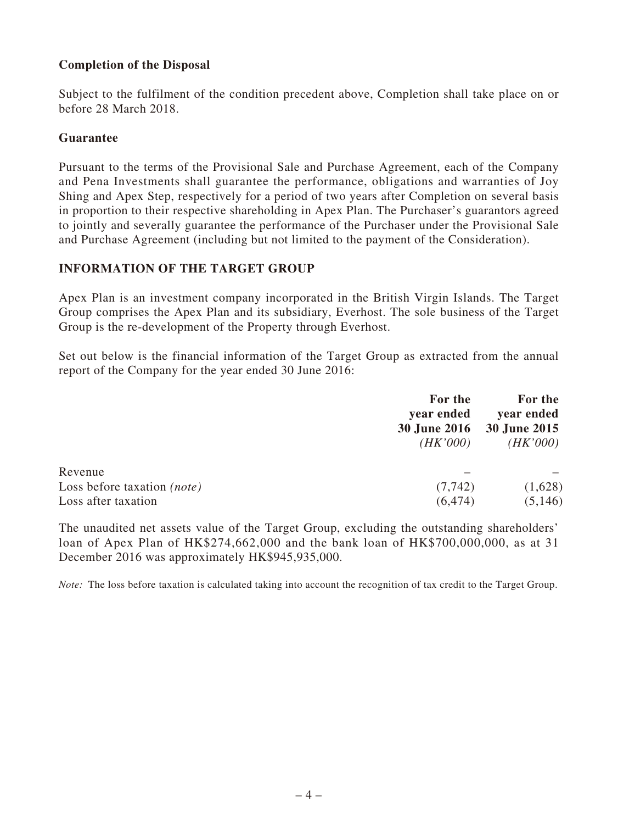## **Completion of the Disposal**

Subject to the fulfilment of the condition precedent above, Completion shall take place on or before 28 March 2018.

#### **Guarantee**

Pursuant to the terms of the Provisional Sale and Purchase Agreement, each of the Company and Pena Investments shall guarantee the performance, obligations and warranties of Joy Shing and Apex Step, respectively for a period of two years after Completion on several basis in proportion to their respective shareholding in Apex Plan. The Purchaser's guarantors agreed to jointly and severally guarantee the performance of the Purchaser under the Provisional Sale and Purchase Agreement (including but not limited to the payment of the Consideration).

## **INFORMATION OF THE TARGET GROUP**

Apex Plan is an investment company incorporated in the British Virgin Islands. The Target Group comprises the Apex Plan and its subsidiary, Everhost. The sole business of the Target Group is the re-development of the Property through Everhost.

Set out below is the financial information of the Target Group as extracted from the annual report of the Company for the year ended 30 June 2016:

|                                    | For the    | For the<br>year ended<br>30 June 2016 30 June 2015 |
|------------------------------------|------------|----------------------------------------------------|
|                                    | year ended |                                                    |
|                                    | (HK'000)   | (HK'000)                                           |
| Revenue                            |            |                                                    |
| Loss before taxation <i>(note)</i> | (7, 742)   | (1,628)                                            |
| Loss after taxation                | (6, 474)   | (5,146)                                            |

The unaudited net assets value of the Target Group, excluding the outstanding shareholders' loan of Apex Plan of HK\$274,662,000 and the bank loan of HK\$700,000,000, as at 31 December 2016 was approximately HK\$945,935,000.

*Note:* The loss before taxation is calculated taking into account the recognition of tax credit to the Target Group.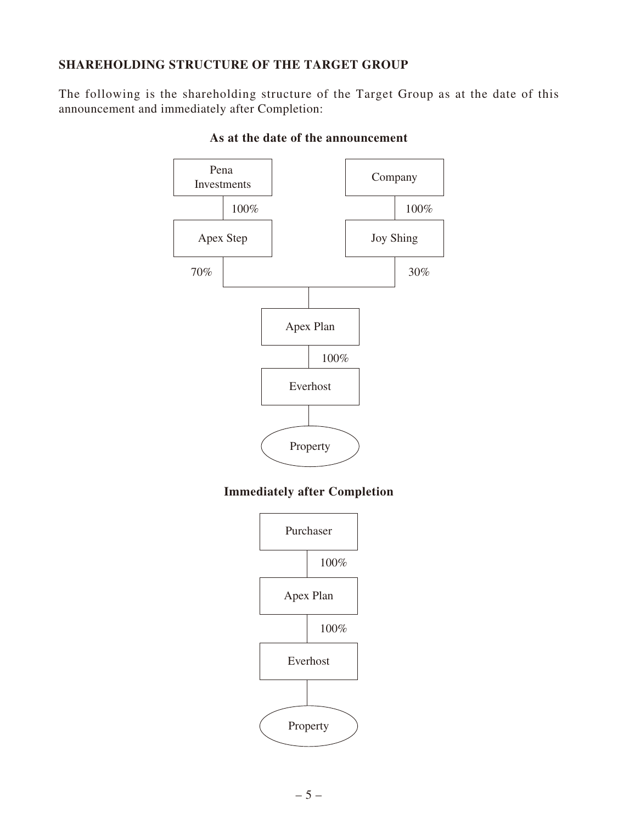# **SHAREHOLDING STRUCTURE OF THE TARGET GROUP**

The following is the shareholding structure of the Target Group as at the date of this announcement and immediately after Completion:



#### **As at the date of the announcement**

# **Immediately after Completion**

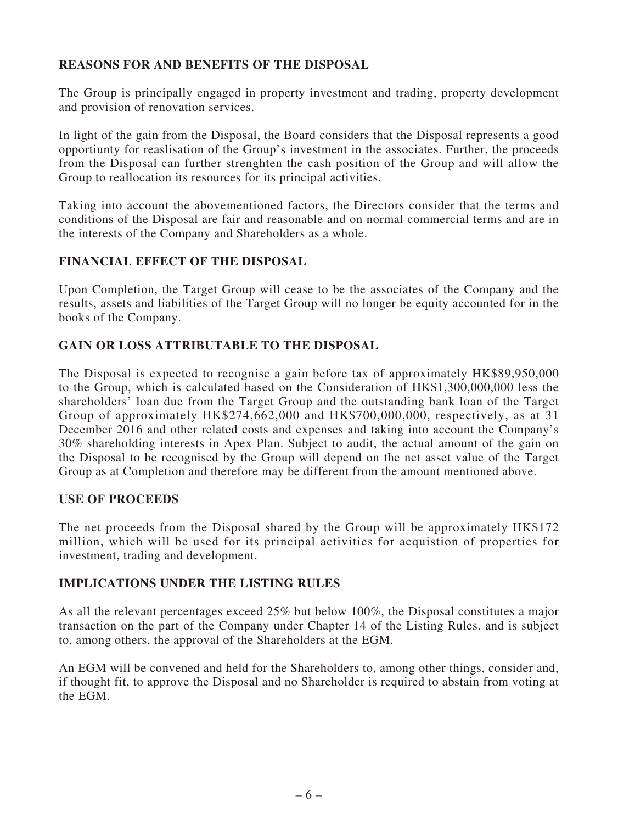# **REASONS FOR AND BENEFITS OF THE DISPOSAL**

The Group is principally engaged in property investment and trading, property development and provision of renovation services.

In light of the gain from the Disposal, the Board considers that the Disposal represents a good opportiunty for reaslisation of the Group's investment in the associates. Further, the proceeds from the Disposal can further strenghten the cash position of the Group and will allow the Group to reallocation its resources for its principal activities.

Taking into account the abovementioned factors, the Directors consider that the terms and conditions of the Disposal are fair and reasonable and on normal commercial terms and are in the interests of the Company and Shareholders as a whole.

#### **FINANCIAL EFFECT OF THE DISPOSAL**

Upon Completion, the Target Group will cease to be the associates of the Company and the results, assets and liabilities of the Target Group will no longer be equity accounted for in the books of the Company.

## **GAIN OR LOSS ATTRIBUTABLE TO THE DISPOSAL**

The Disposal is expected to recognise a gain before tax of approximately HK\$89,950,000 to the Group, which is calculated based on the Consideration of HK\$1,300,000,000 less the shareholders' loan due from the Target Group and the outstanding bank loan of the Target Group of approximately HK\$274,662,000 and HK\$700,000,000, respectively, as at 31 December 2016 and other related costs and expenses and taking into account the Company's 30% shareholding interests in Apex Plan. Subject to audit, the actual amount of the gain on the Disposal to be recognised by the Group will depend on the net asset value of the Target Group as at Completion and therefore may be different from the amount mentioned above.

#### **USE OF PROCEEDS**

The net proceeds from the Disposal shared by the Group will be approximately HK\$172 million, which will be used for its principal activities for acquistion of properties for investment, trading and development.

## **IMPLICATIONS UNDER THE LISTING RULES**

As all the relevant percentages exceed 25% but below 100%, the Disposal constitutes a major transaction on the part of the Company under Chapter 14 of the Listing Rules. and is subject to, among others, the approval of the Shareholders at the EGM.

An EGM will be convened and held for the Shareholders to, among other things, consider and, if thought fit, to approve the Disposal and no Shareholder is required to abstain from voting at the EGM.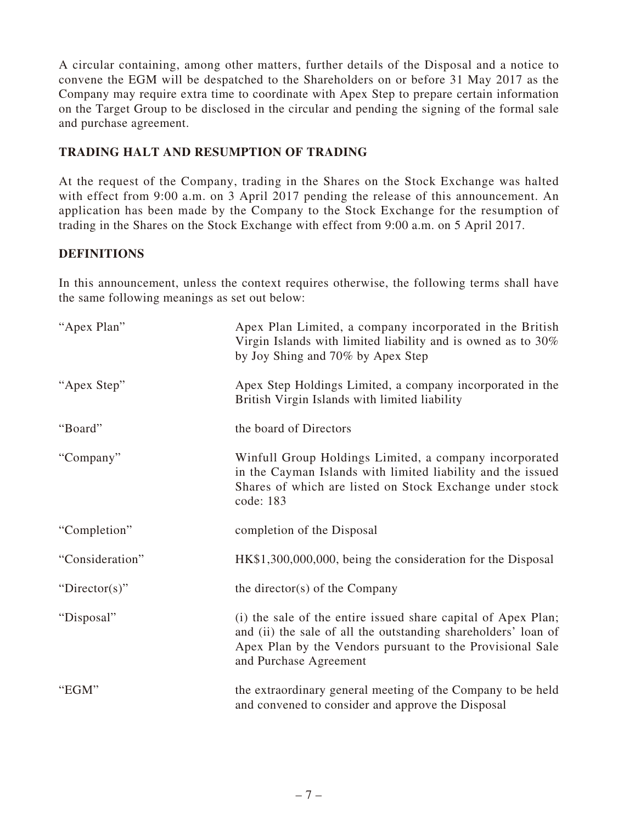A circular containing, among other matters, further details of the Disposal and a notice to convene the EGM will be despatched to the Shareholders on or before 31 May 2017 as the Company may require extra time to coordinate with Apex Step to prepare certain information on the Target Group to be disclosed in the circular and pending the signing of the formal sale and purchase agreement.

# **TRADING HALT AND RESUMPTION OF TRADING**

At the request of the Company, trading in the Shares on the Stock Exchange was halted with effect from 9:00 a.m. on 3 April 2017 pending the release of this announcement. An application has been made by the Company to the Stock Exchange for the resumption of trading in the Shares on the Stock Exchange with effect from 9:00 a.m. on 5 April 2017.

# **DEFINITIONS**

In this announcement, unless the context requires otherwise, the following terms shall have the same following meanings as set out below:

| "Apex Plan"     | Apex Plan Limited, a company incorporated in the British<br>Virgin Islands with limited liability and is owned as to 30%<br>by Joy Shing and 70% by Apex Step                                                          |
|-----------------|------------------------------------------------------------------------------------------------------------------------------------------------------------------------------------------------------------------------|
| "Apex Step"     | Apex Step Holdings Limited, a company incorporated in the<br>British Virgin Islands with limited liability                                                                                                             |
| "Board"         | the board of Directors                                                                                                                                                                                                 |
| "Company"       | Winfull Group Holdings Limited, a company incorporated<br>in the Cayman Islands with limited liability and the issued<br>Shares of which are listed on Stock Exchange under stock<br>code: 183                         |
| "Completion"    | completion of the Disposal                                                                                                                                                                                             |
| "Consideration" | HK\$1,300,000,000, being the consideration for the Disposal                                                                                                                                                            |
| "Director(s)"   | the director( $s$ ) of the Company                                                                                                                                                                                     |
| "Disposal"      | (i) the sale of the entire issued share capital of Apex Plan;<br>and (ii) the sale of all the outstanding shareholders' loan of<br>Apex Plan by the Vendors pursuant to the Provisional Sale<br>and Purchase Agreement |
| "EGM"           | the extraordinary general meeting of the Company to be held<br>and convened to consider and approve the Disposal                                                                                                       |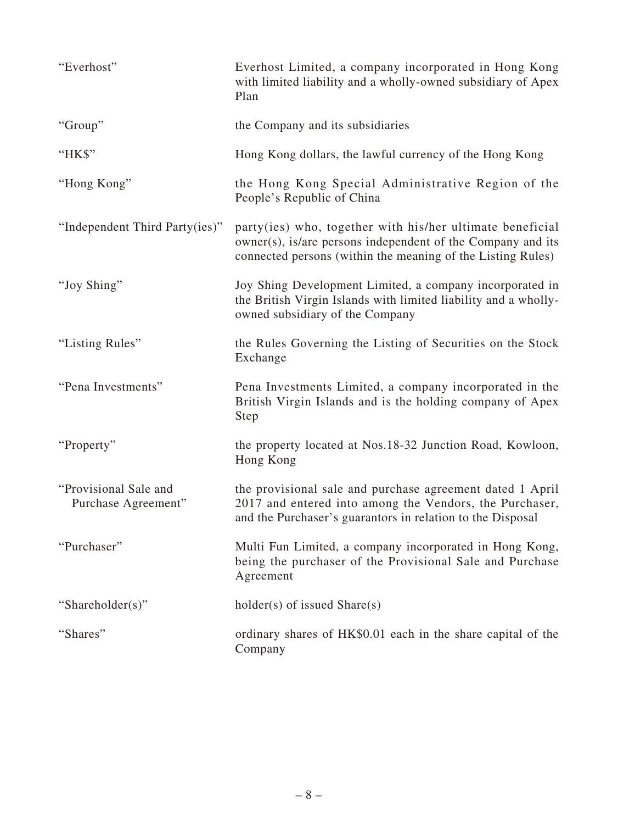| "Everhost"                                   | Everhost Limited, a company incorporated in Hong Kong<br>with limited liability and a wholly-owned subsidiary of Apex<br>Plan                                                           |
|----------------------------------------------|-----------------------------------------------------------------------------------------------------------------------------------------------------------------------------------------|
| "Group"                                      | the Company and its subsidiaries                                                                                                                                                        |
| "HK\$"                                       | Hong Kong dollars, the lawful currency of the Hong Kong                                                                                                                                 |
| "Hong Kong"                                  | the Hong Kong Special Administrative Region of the<br>People's Republic of China                                                                                                        |
| "Independent Third Party(ies)"               | party(ies) who, together with his/her ultimate beneficial<br>owner(s), is/are persons independent of the Company and its<br>connected persons (within the meaning of the Listing Rules) |
| "Joy Shing"                                  | Joy Shing Development Limited, a company incorporated in<br>the British Virgin Islands with limited liability and a wholly-<br>owned subsidiary of the Company                          |
| "Listing Rules"                              | the Rules Governing the Listing of Securities on the Stock<br>Exchange                                                                                                                  |
| "Pena Investments"                           | Pena Investments Limited, a company incorporated in the<br>British Virgin Islands and is the holding company of Apex<br>Step                                                            |
| "Property"                                   | the property located at Nos.18-32 Junction Road, Kowloon,<br>Hong Kong                                                                                                                  |
| "Provisional Sale and<br>Purchase Agreement" | the provisional sale and purchase agreement dated 1 April<br>2017 and entered into among the Vendors, the Purchaser,<br>and the Purchaser's guarantors in relation to the Disposal      |
| "Purchaser"                                  | Multi Fun Limited, a company incorporated in Hong Kong,<br>being the purchaser of the Provisional Sale and Purchase<br>Agreement                                                        |
| "Shareholder(s)"                             | $holder(s)$ of issued $Share(s)$                                                                                                                                                        |
| "Shares"                                     | ordinary shares of HK\$0.01 each in the share capital of the<br>Company                                                                                                                 |